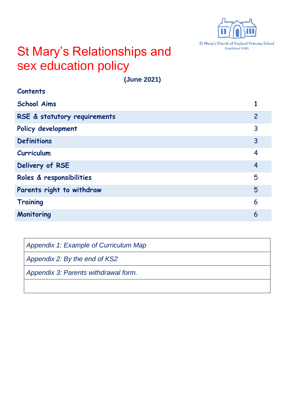

## St Mary's Relationships and sex education policy

**(June 2021)**

| <b>Contents</b>              |                |
|------------------------------|----------------|
| <b>School Aims</b>           |                |
| RSE & statutory requirements | $\overline{2}$ |
| Policy development           | 3              |
| <b>Definitions</b>           | 3              |
| Curriculum                   | $\overline{4}$ |
| Delivery of RSE              | $\overline{4}$ |
| Roles & responsibilities     | 5              |
| Parents right to withdraw    | 5              |
| <b>Training</b>              | 6              |
| Monitoring                   | 6              |

| Appendix 1: Example of Curriculum Map |
|---------------------------------------|
| Appendix 2: By the end of KS2         |
| Appendix 3: Parents withdrawal form.  |
|                                       |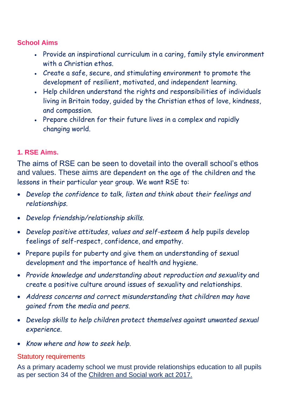#### **School Aims**

- Provide an inspirational curriculum in a caring, family style environment with a Christian ethos.
- Create a safe, secure, and stimulating environment to promote the development of resilient, motivated, and independent learning.
- Help children understand the rights and responsibilities of individuals living in Britain today, guided by the Christian ethos of love, kindness, and compassion.
- Prepare children for their future lives in a complex and rapidly changing world.

#### **1. RSE Aims.**

The aims of RSE can be seen to dovetail into the overall school's ethos and values. These aims are dependent on the age of the children and the lessons in their particular year group. We want RSE to:

- *Develop the confidence to talk, listen and think about their feelings and relationships.*
- *Develop friendship/relationship skills.*
- *Develop positive attitudes, values and self-esteem & h*elp pupils develop feelings of self-respect, confidence, and empathy.
- Prepare pupils for puberty and give them an understanding of sexual development and the importance of health and hygiene.
- *Provide knowledge and understanding about reproduction and sexuality* and create a positive culture around issues of sexuality and relationships.
- *Address concerns and correct misunderstanding that children may have gained from the media and peers.*
- *Develop skills to help children protect themselves against unwanted sexual experience.*
- *Know where and how to seek help.*

#### Statutory requirements

As a primary academy school we must provide relationships education to all pupils as per section 34 of the Children and [Social work act 2017.](http://www.legislation.gov.uk/ukpga/2017/16/section/34/enacted)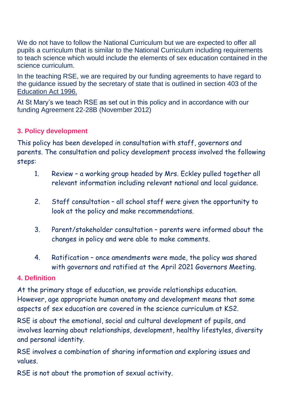We do not have to follow the National Curriculum but we are expected to offer all pupils a curriculum that is similar to the National Curriculum including requirements to teach science which would include the elements of sex education contained in the science curriculum.

In the teaching RSE, we are required by our funding agreements to have regard to the [guidance](https://www.gov.uk/government/consultations/relationships-and-sex-education-and-health-education) issued by the secretary of state that is outlined in section 403 of the [Education Act 1996.](http://www.legislation.gov.uk/ukpga/1996/56/contents)

At St Mary's we teach RSE as set out in this policy and in accordance with our funding Agreement 22-28B (November 2012)

#### **3. Policy development**

This policy has been developed in consultation with staff, governors and parents. The consultation and policy development process involved the following steps:

- 1. Review a working group headed by Mrs. Eckley pulled together all relevant information including relevant national and local guidance.
- 2. Staff consultation all school staff were given the opportunity to look at the policy and make recommendations.
- 3. Parent/stakeholder consultation parents were informed about the changes in policy and were able to make comments.
- 4. Ratification once amendments were made, the policy was shared with governors and ratified at the April 2021 Governors Meeting.

#### **4. Definition**

At the primary stage of education, we provide relationships education. However, age appropriate human anatomy and development means that some aspects of sex education are covered in the science curriculum at KS2.

RSE is about the emotional, social and cultural development of pupils, and involves learning about relationships, development, healthy lifestyles, diversity and personal identity.

RSE involves a combination of sharing information and exploring issues and values.

RSE is not about the promotion of sexual activity.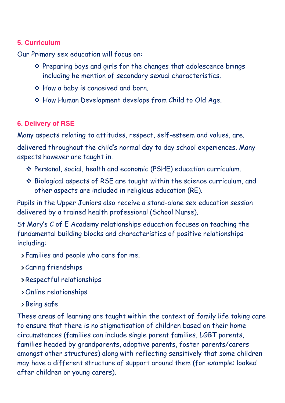#### **5. Curriculum**

Our Primary sex education will focus on:

- ❖ Preparing boys and girls for the changes that adolescence brings including he mention of secondary sexual characteristics.
- ❖ How a baby is conceived and born.
- ❖ How Human Development develops from Child to Old Age.

#### **6. Delivery of RSE**

Many aspects relating to attitudes, respect, self-esteem and values, are.

delivered throughout the child's normal day to day school experiences. Many aspects however are taught in.

- ❖ Personal, social, health and economic (PSHE) education curriculum.
- ❖ Biological aspects of RSE are taught within the science curriculum, and other aspects are included in religious education (RE).

Pupils in the Upper Juniors also receive a stand-alone sex education session delivered by a trained health professional (School Nurse).

St Mary's C of E Academy relationships education focuses on teaching the fundamental building blocks and characteristics of positive relationships including:

Families and people who care for me.

Caring friendships

- Respectful relationships
- Online relationships
- Being safe

These areas of learning are taught within the context of family life taking care to ensure that there is no stigmatisation of children based on their home circumstances (families can include single parent families, LGBT parents, families headed by grandparents, adoptive parents, foster parents/carers amongst other structures) along with reflecting sensitively that some children may have a different structure of support around them (for example: looked after children or young carers).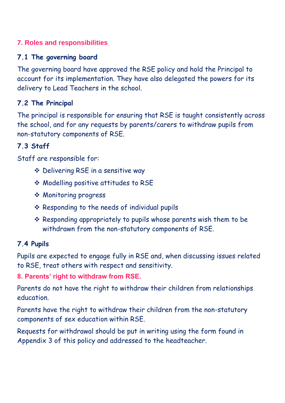#### **7. Roles and responsibilities**

#### **7.1 The governing board**

The governing board have approved the RSE policy and hold the Principal to account for its implementation. They have also delegated the powers for its delivery to Lead Teachers in the school.

#### **7.2 The Principal**

The principal is responsible for ensuring that RSE is taught consistently across the school, and for any requests by parents/carers to withdraw pupils from non-statutory components of RSE.

#### **7.3 Staff**

Staff are responsible for:

- ❖ Delivering RSE in a sensitive way
- ❖ Modelling positive attitudes to RSE
- ❖ Monitoring progress
- ❖ Responding to the needs of individual pupils
- ❖ Responding appropriately to pupils whose parents wish them to be withdrawn from the non-statutory components of RSE.

#### **7.4 Pupils**

Pupils are expected to engage fully in RSE and, when discussing issues related to RSE, treat others with respect and sensitivity.

#### **8. Parents' right to withdraw from RSE.**

Parents do not have the right to withdraw their children from relationships education.

Parents have the right to withdraw their children from the non-statutory components of sex education within RSE.

Requests for withdrawal should be put in writing using the form found in Appendix 3 of this policy and addressed to the headteacher.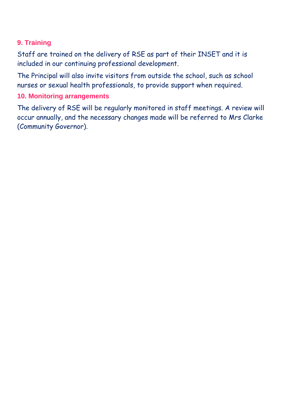#### **9. Training**

Staff are trained on the delivery of RSE as part of their INSET and it is included in our continuing professional development.

The Principal will also invite visitors from outside the school, such as school nurses or sexual health professionals, to provide support when required.

#### **10. Monitoring arrangements**

The delivery of RSE will be regularly monitored in staff meetings. A review will occur annually, and the necessary changes made will be referred to Mrs Clarke (Community Governor).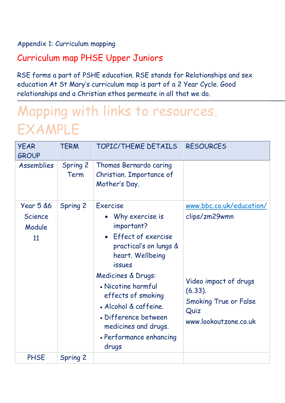#### Appendix 1: Curriculum mapping

## Curriculum map PHSE Upper Juniors

RSE forms a part of PSHE education. RSE stands for Relationships and sex education At St Mary's curriculum map is part of a 2 Year Cycle. Good relationships and a Christian ethos permeate in all that we do.

# Mapping with links to resources. EXAMPLE

| <b>YEAR</b><br><b>GROUP</b>                            | <b>TERM</b>             | TOPIC/THEME DETAILS                                                                                                                                                                                                                                                                                                    | <b>RESOURCES</b>                                                                                                                                  |
|--------------------------------------------------------|-------------------------|------------------------------------------------------------------------------------------------------------------------------------------------------------------------------------------------------------------------------------------------------------------------------------------------------------------------|---------------------------------------------------------------------------------------------------------------------------------------------------|
| <b>Assemblies</b>                                      | <b>Spring 2</b><br>Term | Thomas Bernardo caring<br>Christian. Importance of<br>Mother's Day.                                                                                                                                                                                                                                                    |                                                                                                                                                   |
| <b>Year 5 &amp;6</b><br><b>Science</b><br>Module<br>11 | Spring 2                | <b>Exercise</b><br>Why exercise is<br>important?<br>• Effect of exercise<br>practical's on lungs &<br>heart. Wellbeing<br><b>issues</b><br>Medicines & Drugs:<br>• Nicotine harmful<br>effects of smoking<br>· Alcohol & caffeine.<br>• Difference between<br>medicines and drugs.<br>• Performance enhancing<br>drugs | www.bbc.co.uk/education/<br>clips/zm29wmn<br>Video impact of drugs<br>$(6.33)$ .<br><b>Smoking True or False</b><br>Quiz<br>www.lookoutzone.co.uk |
| <b>PHSE</b>                                            | <b>Spring 2</b>         |                                                                                                                                                                                                                                                                                                                        |                                                                                                                                                   |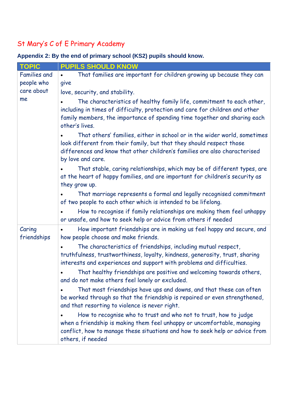## St Mary's C of E Primary Academy

**Appendix 2: By the end of primary school (KS2) pupils should know.**

| <b>TOPIC</b>          | <b>PUPILS SHOULD KNOW</b>                                                                                                                                                                                                                            |  |  |  |
|-----------------------|------------------------------------------------------------------------------------------------------------------------------------------------------------------------------------------------------------------------------------------------------|--|--|--|
| <b>Families and</b>   | That families are important for children growing up because they can<br>$\bullet$                                                                                                                                                                    |  |  |  |
| people who            | give                                                                                                                                                                                                                                                 |  |  |  |
| care about            | love, security, and stability.                                                                                                                                                                                                                       |  |  |  |
| me                    | The characteristics of healthy family life, commitment to each other,<br>including in times of difficulty, protection and care for children and other<br>family members, the importance of spending time together and sharing each<br>other's lives. |  |  |  |
|                       | That others' families, either in school or in the wider world, sometimes<br>look different from their family, but that they should respect those<br>differences and know that other children's families are also characterised<br>by love and care.  |  |  |  |
|                       | That stable, caring relationships, which may be of different types, are<br>at the heart of happy families, and are important for children's security as<br>they grow up.                                                                             |  |  |  |
|                       | That marriage represents a formal and legally recognised commitment<br>of two people to each other which is intended to be lifelong.                                                                                                                 |  |  |  |
|                       | How to recognise if family relationships are making them feel unhappy<br>or unsafe, and how to seek help or advice from others if needed                                                                                                             |  |  |  |
| Caring<br>friendships | How important friendships are in making us feel happy and secure, and<br>how people choose and make friends.                                                                                                                                         |  |  |  |
|                       | The characteristics of friendships, including mutual respect,<br>truthfulness, trustworthiness, loyalty, kindness, generosity, trust, sharing<br>interests and experiences and support with problems and difficulties.                               |  |  |  |
|                       | That healthy friendships are positive and welcoming towards others,<br>and do not make others feel lonely or excluded.                                                                                                                               |  |  |  |
|                       | That most friendships have ups and downs, and that these can often<br>be worked through so that the friendship is repaired or even strengthened,<br>and that resorting to violence is never right.                                                   |  |  |  |
|                       | How to recognise who to trust and who not to trust, how to judge<br>when a friendship is making them feel unhappy or uncomfortable, managing<br>conflict, how to manage these situations and how to seek help or advice from<br>others, if needed    |  |  |  |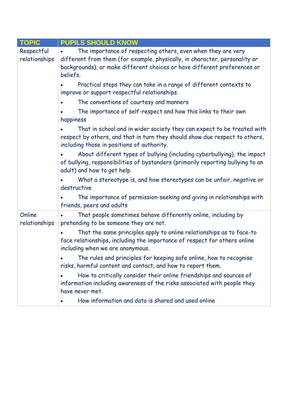| <b>TOPIC</b>                | <b>PUPILS SHOULD KNOW</b>                                                                                                                                                                                                          |
|-----------------------------|------------------------------------------------------------------------------------------------------------------------------------------------------------------------------------------------------------------------------------|
| Respectful<br>relationships | The importance of respecting others, even when they are very<br>different from them (for example, physically, in character, personality or<br>backgrounds), or make different choices or have different preferences or<br>beliefs. |
|                             | Practical steps they can take in a range of different contexts to<br>improve or support respectful relationships.                                                                                                                  |
|                             | The conventions of courtesy and manners                                                                                                                                                                                            |
|                             | The importance of self-respect and how this links to their own<br>happiness                                                                                                                                                        |
|                             | That in school and in wider society they can expect to be treated with<br>respect by others, and that in turn they should show due respect to others,<br>including those in positions of authority.                                |
|                             | About different types of bullying (including cyberbullying), the impact<br>of bullying, responsibilities of bystanders (primarily reporting bullying to an<br>adult) and how to get help.                                          |
|                             | What a stereotype is, and how stereotypes can be unfair, negative or<br>destructive                                                                                                                                                |
|                             | The importance of permission-seeking and giving in relationships with<br>friends, peers and adults                                                                                                                                 |
| Online<br>relationships     | That people sometimes behave differently online, including by<br>pretending to be someone they are not.                                                                                                                            |
|                             | That the same principles apply to online relationships as to face-to<br>face relationships, including the importance of respect for others online<br>including when we are anonymous.                                              |
|                             | The rules and principles for keeping safe online, how to recognise<br>risks, harmful content and contact, and how to report them.                                                                                                  |
|                             | How to critically consider their online friendships and sources of<br>information including awareness of the risks associated with people they<br>have never met.                                                                  |
|                             | How information and data is shared and used online                                                                                                                                                                                 |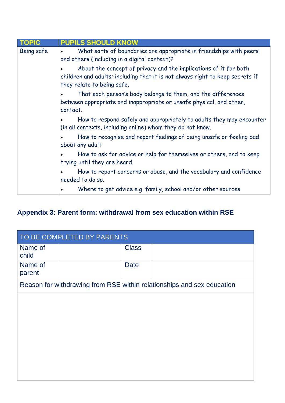| <b>TOPIC</b> | <b>PUPILS SHOULD KNOW</b>                                                                                                                                                       |
|--------------|---------------------------------------------------------------------------------------------------------------------------------------------------------------------------------|
| Being safe   | What sorts of boundaries are appropriate in friendships with peers<br>and others (including in a digital context)?                                                              |
|              | About the concept of privacy and the implications of it for both<br>children and adults; including that it is not always right to keep secrets if<br>they relate to being safe. |
|              | That each person's body belongs to them, and the differences<br>between appropriate and inappropriate or unsafe physical, and other,<br>contact.                                |
|              | How to respond safely and appropriately to adults they may encounter<br>(in all contexts, including online) whom they do not know.                                              |
|              | How to recognise and report feelings of being unsafe or feeling bad<br>about any adult                                                                                          |
|              | How to ask for advice or help for themselves or others, and to keep<br>trying until they are heard.                                                                             |
|              | How to report concerns or abuse, and the vocabulary and confidence<br>needed to do so.                                                                                          |
|              | Where to get advice e.g. family, school and/or other sources                                                                                                                    |

## **Appendix 3: Parent form: withdrawal from sex education within RSE**

| TO BE COMPLETED BY PARENTS |  |              |                                                                        |  |
|----------------------------|--|--------------|------------------------------------------------------------------------|--|
| Name of<br>child           |  | <b>Class</b> |                                                                        |  |
| Name of<br>parent          |  | <b>Date</b>  |                                                                        |  |
|                            |  |              | Reason for withdrawing from RSE within relationships and sex education |  |
|                            |  |              |                                                                        |  |
|                            |  |              |                                                                        |  |
|                            |  |              |                                                                        |  |
|                            |  |              |                                                                        |  |
|                            |  |              |                                                                        |  |
|                            |  |              |                                                                        |  |